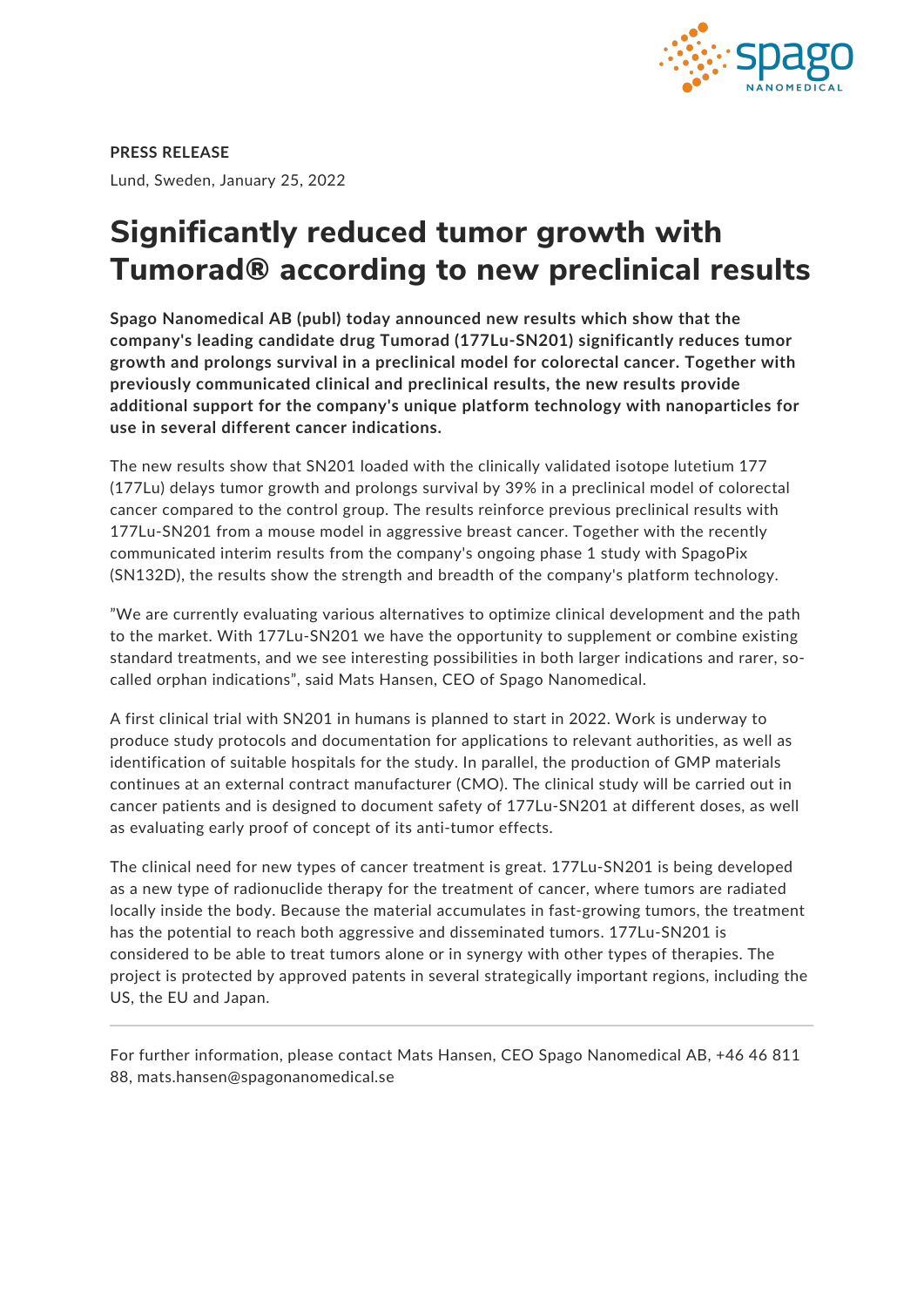

**PRESS RELEASE** Lund, Sweden, January 25, 2022

## **Significantly reduced tumor growth with Tumorad® according to new preclinical results**

**Spago Nanomedical AB (publ) today announced new results which show that the company's leading candidate drug Tumorad (177Lu-SN201) significantly reduces tumor growth and prolongs survival in a preclinical model for colorectal cancer. Together with previously communicated clinical and preclinical results, the new results provide additional support for the company's unique platform technology with nanoparticles for use in several different cancer indications.**

The new results show that SN201 loaded with the clinically validated isotope lutetium 177 (177Lu) delays tumor growth and prolongs survival by 39% in a preclinical model of colorectal cancer compared to the control group. The results reinforce previous preclinical results with 177Lu-SN201 from a mouse model in aggressive breast cancer. Together with the recently communicated interim results from the company's ongoing phase 1 study with SpagoPix (SN132D), the results show the strength and breadth of the company's platform technology.

"We are currently evaluating various alternatives to optimize clinical development and the path to the market. With 177Lu-SN201 we have the opportunity to supplement or combine existing standard treatments, and we see interesting possibilities in both larger indications and rarer, socalled orphan indications", said Mats Hansen, CEO of Spago Nanomedical.

A first clinical trial with SN201 in humans is planned to start in 2022. Work is underway to produce study protocols and documentation for applications to relevant authorities, as well as identification of suitable hospitals for the study. In parallel, the production of GMP materials continues at an external contract manufacturer (CMO). The clinical study will be carried out in cancer patients and is designed to document safety of 177Lu-SN201 at different doses, as well as evaluating early proof of concept of its anti-tumor effects.

The clinical need for new types of cancer treatment is great. 177Lu-SN201 is being developed as a new type of radionuclide therapy for the treatment of cancer, where tumors are radiated locally inside the body. Because the material accumulates in fast-growing tumors, the treatment has the potential to reach both aggressive and disseminated tumors. 177Lu-SN201 is considered to be able to treat tumors alone or in synergy with other types of therapies. The project is protected by approved patents in several strategically important regions, including the US, the EU and Japan.

For further information, please contact Mats Hansen, CEO Spago Nanomedical AB, +46 46 811 88, mats.hansen@spagonanomedical.se